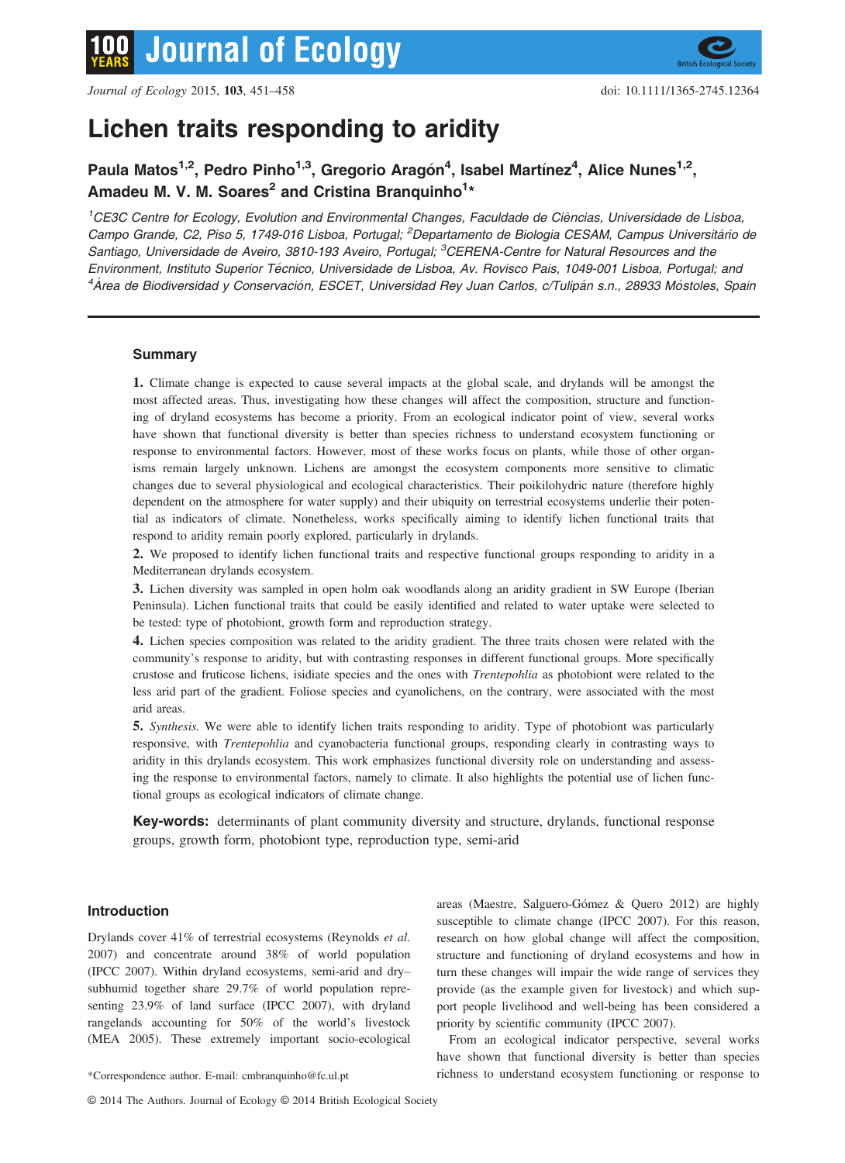

# Lichen traits responding to aridity

# Paula Matos<sup>1,2</sup>, Pedro Pinho<sup>1,3</sup>, Gregorio Aragón<sup>4</sup>, Isabel Martínez<sup>4</sup>, Alice Nunes<sup>1,2</sup>, Amadeu M. V. M. Soares<sup>2</sup> and Cristina Branquinho<sup>1</sup>\*

<sup>1</sup>CE3C Centre for Ecology, Evolution and Environmental Changes, Faculdade de Ciências, Universidade de Lisboa, Campo Grande, C2, Piso 5, 1749-016 Lisboa, Portugal; <sup>2</sup> Departamento de Biologia CESAM, Campus Universitário de Santiago, Universidade de Aveiro, 3810-193 Aveiro, Portugal; <sup>3</sup>CERENA-Centre for Natural Resources and the Environment, Instituto Superior Técnico, Universidade de Lisboa, Av. Rovisco Pais, 1049-001 Lisboa, Portugal; and <sup>4</sup>Área de Biodiversidad y Conservación, ESCET, Universidad Rey Juan Carlos, c/Tulipán s.n., 28933 Móstoles, Spain

# **Summary**

1. Climate change is expected to cause several impacts at the global scale, and drylands will be amongst the most affected areas. Thus, investigating how these changes will affect the composition, structure and functioning of dryland ecosystems has become a priority. From an ecological indicator point of view, several works have shown that functional diversity is better than species richness to understand ecosystem functioning or response to environmental factors. However, most of these works focus on plants, while those of other organisms remain largely unknown. Lichens are amongst the ecosystem components more sensitive to climatic changes due to several physiological and ecological characteristics. Their poikilohydric nature (therefore highly dependent on the atmosphere for water supply) and their ubiquity on terrestrial ecosystems underlie their potential as indicators of climate. Nonetheless, works specifically aiming to identify lichen functional traits that respond to aridity remain poorly explored, particularly in drylands.

2. We proposed to identify lichen functional traits and respective functional groups responding to aridity in a Mediterranean drylands ecosystem.

3. Lichen diversity was sampled in open holm oak woodlands along an aridity gradient in SW Europe (Iberian Peninsula). Lichen functional traits that could be easily identified and related to water uptake were selected to be tested: type of photobiont, growth form and reproduction strategy.

4. Lichen species composition was related to the aridity gradient. The three traits chosen were related with the community's response to aridity, but with contrasting responses in different functional groups. More specifically crustose and fruticose lichens, isidiate species and the ones with Trentepohlia as photobiont were related to the less arid part of the gradient. Foliose species and cyanolichens, on the contrary, were associated with the most arid areas.

5. Synthesis. We were able to identify lichen traits responding to aridity. Type of photobiont was particularly responsive, with Trentepohlia and cyanobacteria functional groups, responding clearly in contrasting ways to aridity in this drylands ecosystem. This work emphasizes functional diversity role on understanding and assessing the response to environmental factors, namely to climate. It also highlights the potential use of lichen functional groups as ecological indicators of climate change.

Key-words: determinants of plant community diversity and structure, drylands, functional response groups, growth form, photobiont type, reproduction type, semi-arid

# Introduction

Drylands cover 41% of terrestrial ecosystems (Reynolds et al. 2007) and concentrate around 38% of world population (IPCC 2007). Within dryland ecosystems, semi-arid and dry– subhumid together share 29.7% of world population representing 23.9% of land surface (IPCC 2007), with dryland rangelands accounting for 50% of the world's livestock (MEA 2005). These extremely important socio-ecological areas (Maestre, Salguero-Gómez & Quero 2012) are highly susceptible to climate change (IPCC 2007). For this reason, research on how global change will affect the composition, structure and functioning of dryland ecosystems and how in turn these changes will impair the wide range of services they provide (as the example given for livestock) and which support people livelihood and well-being has been considered a priority by scientific community (IPCC 2007).

From an ecological indicator perspective, several works have shown that functional diversity is better than species \*Correspondence author. E-mail: cmbranquinho@fc.ul.pt richness to understand ecosystem functioning or response to

<sup>©</sup> 2014 The Authors. Journal of Ecology © 2014 British Ecological Society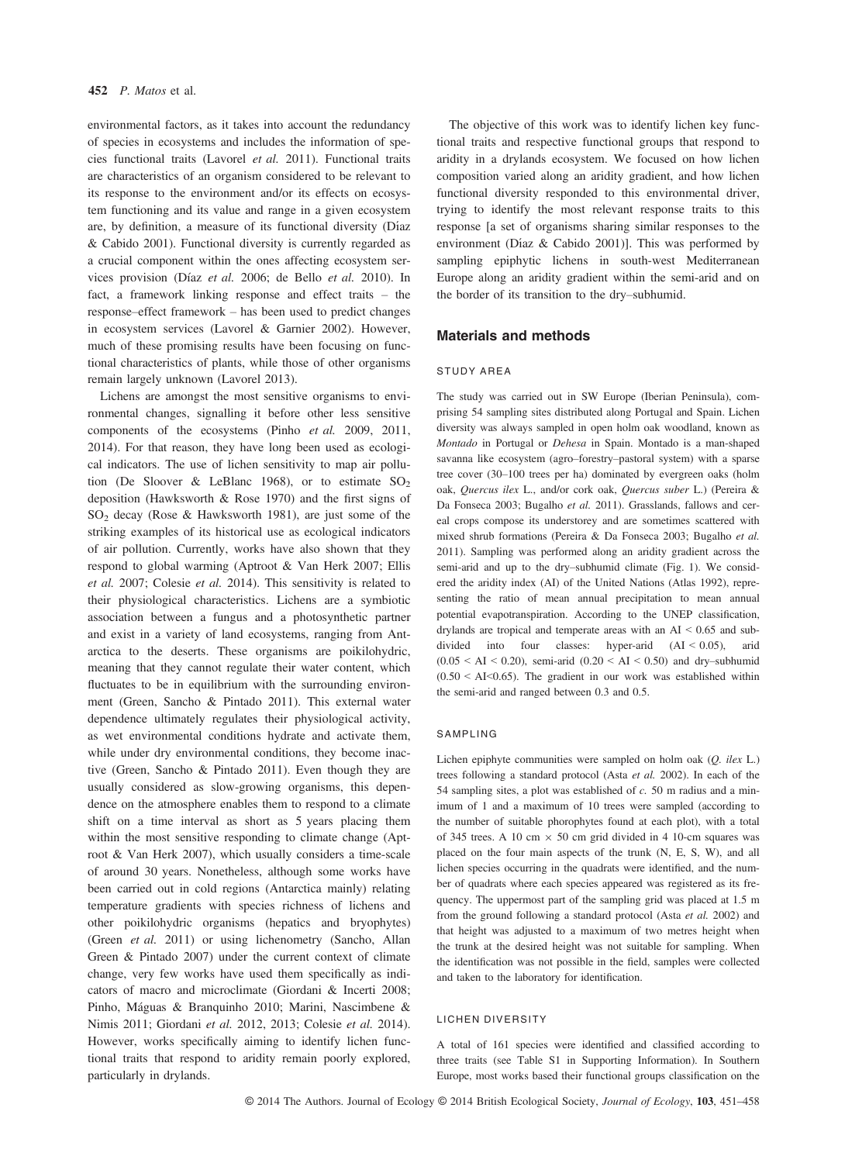environmental factors, as it takes into account the redundancy of species in ecosystems and includes the information of species functional traits (Lavorel et al. 2011). Functional traits are characteristics of an organism considered to be relevant to its response to the environment and/or its effects on ecosystem functioning and its value and range in a given ecosystem are, by definition, a measure of its functional diversity (Díaz & Cabido 2001). Functional diversity is currently regarded as a crucial component within the ones affecting ecosystem services provision (Díaz et al. 2006; de Bello et al. 2010). In fact, a framework linking response and effect traits – the response–effect framework – has been used to predict changes in ecosystem services (Lavorel & Garnier 2002). However, much of these promising results have been focusing on functional characteristics of plants, while those of other organisms remain largely unknown (Lavorel 2013).

Lichens are amongst the most sensitive organisms to environmental changes, signalling it before other less sensitive components of the ecosystems (Pinho et al. 2009, 2011, 2014). For that reason, they have long been used as ecological indicators. The use of lichen sensitivity to map air pollution (De Sloover & LeBlanc 1968), or to estimate  $SO_2$ deposition (Hawksworth & Rose 1970) and the first signs of  $SO<sub>2</sub>$  decay (Rose & Hawksworth 1981), are just some of the striking examples of its historical use as ecological indicators of air pollution. Currently, works have also shown that they respond to global warming (Aptroot & Van Herk 2007; Ellis et al. 2007; Colesie et al. 2014). This sensitivity is related to their physiological characteristics. Lichens are a symbiotic association between a fungus and a photosynthetic partner and exist in a variety of land ecosystems, ranging from Antarctica to the deserts. These organisms are poikilohydric, meaning that they cannot regulate their water content, which fluctuates to be in equilibrium with the surrounding environment (Green, Sancho & Pintado 2011). This external water dependence ultimately regulates their physiological activity, as wet environmental conditions hydrate and activate them, while under dry environmental conditions, they become inactive (Green, Sancho & Pintado 2011). Even though they are usually considered as slow-growing organisms, this dependence on the atmosphere enables them to respond to a climate shift on a time interval as short as 5 years placing them within the most sensitive responding to climate change (Aptroot & Van Herk 2007), which usually considers a time-scale of around 30 years. Nonetheless, although some works have been carried out in cold regions (Antarctica mainly) relating temperature gradients with species richness of lichens and other poikilohydric organisms (hepatics and bryophytes) (Green et al. 2011) or using lichenometry (Sancho, Allan Green & Pintado 2007) under the current context of climate change, very few works have used them specifically as indicators of macro and microclimate (Giordani & Incerti 2008; Pinho, Máguas & Branquinho 2010; Marini, Nascimbene & Nimis 2011; Giordani et al. 2012, 2013; Colesie et al. 2014). However, works specifically aiming to identify lichen functional traits that respond to aridity remain poorly explored, particularly in drylands.

The objective of this work was to identify lichen key functional traits and respective functional groups that respond to aridity in a drylands ecosystem. We focused on how lichen composition varied along an aridity gradient, and how lichen functional diversity responded to this environmental driver, trying to identify the most relevant response traits to this response [a set of organisms sharing similar responses to the environment (Díaz & Cabido 2001)]. This was performed by sampling epiphytic lichens in south-west Mediterranean Europe along an aridity gradient within the semi-arid and on the border of its transition to the dry–subhumid.

# Materials and methods

#### STUDY AREA

The study was carried out in SW Europe (Iberian Peninsula), comprising 54 sampling sites distributed along Portugal and Spain. Lichen diversity was always sampled in open holm oak woodland, known as Montado in Portugal or Dehesa in Spain. Montado is a man-shaped savanna like ecosystem (agro–forestry–pastoral system) with a sparse tree cover (30–100 trees per ha) dominated by evergreen oaks (holm oak, Quercus ilex L., and/or cork oak, Quercus suber L.) (Pereira & Da Fonseca 2003; Bugalho et al. 2011). Grasslands, fallows and cereal crops compose its understorey and are sometimes scattered with mixed shrub formations (Pereira & Da Fonseca 2003; Bugalho et al. 2011). Sampling was performed along an aridity gradient across the semi-arid and up to the dry–subhumid climate (Fig. 1). We considered the aridity index (AI) of the United Nations (Atlas 1992), representing the ratio of mean annual precipitation to mean annual potential evapotranspiration. According to the UNEP classification, drylands are tropical and temperate areas with an AI < 0.65 and subdivided into four classes: hyper-arid (AI < 0.05), arid  $(0.05 < AI < 0.20)$ , semi-arid  $(0.20 < AI < 0.50)$  and dry-subhumid  $(0.50 < AI < 0.65)$ . The gradient in our work was established within the semi-arid and ranged between 0.3 and 0.5.

#### SAMPLING

Lichen epiphyte communities were sampled on holm oak (Q. ilex L.) trees following a standard protocol (Asta et al. 2002). In each of the 54 sampling sites, a plot was established of  $c$ . 50 m radius and a minimum of 1 and a maximum of 10 trees were sampled (according to the number of suitable phorophytes found at each plot), with a total of 345 trees. A 10 cm  $\times$  50 cm grid divided in 4 10-cm squares was placed on the four main aspects of the trunk (N, E, S, W), and all lichen species occurring in the quadrats were identified, and the number of quadrats where each species appeared was registered as its frequency. The uppermost part of the sampling grid was placed at 1.5 m from the ground following a standard protocol (Asta et al. 2002) and that height was adjusted to a maximum of two metres height when the trunk at the desired height was not suitable for sampling. When the identification was not possible in the field, samples were collected and taken to the laboratory for identification.

# LICHEN DIVERSITY

A total of 161 species were identified and classified according to three traits (see Table S1 in Supporting Information). In Southern Europe, most works based their functional groups classification on the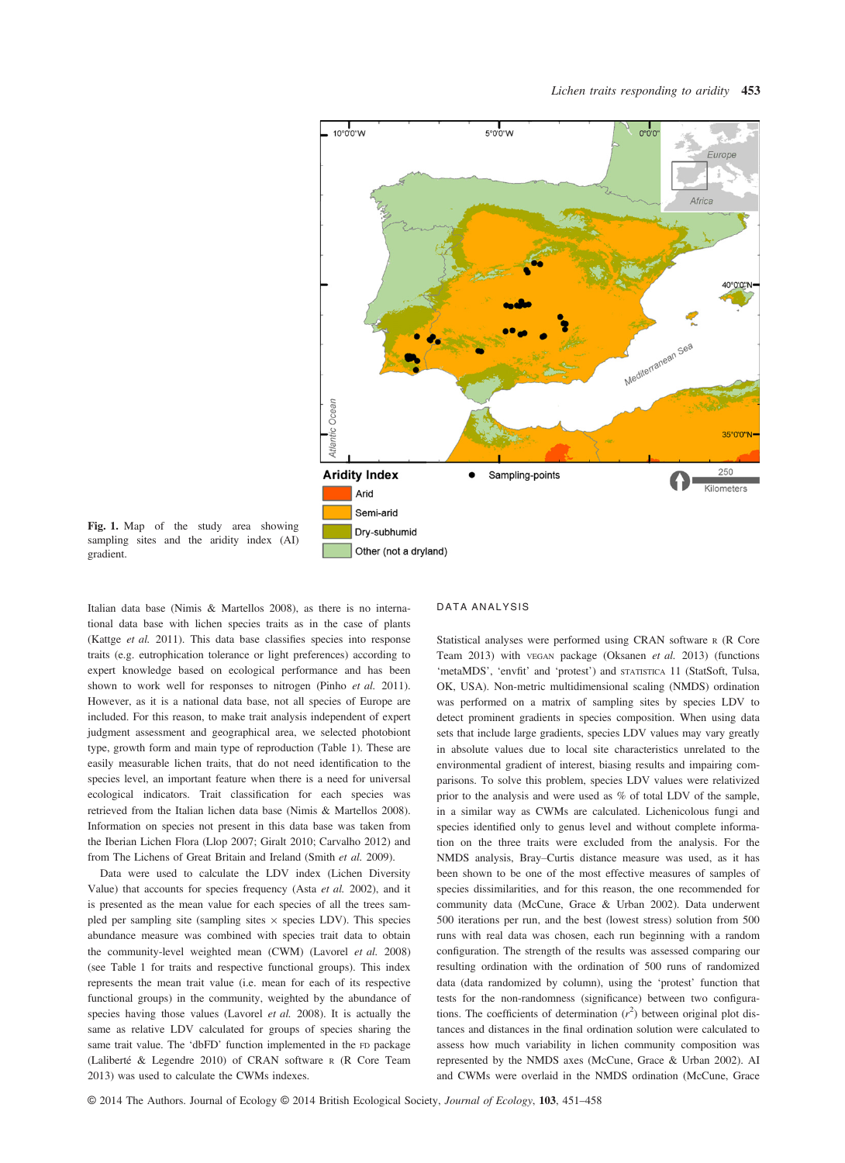

Fig. 1. Map of the study area showing sampling sites and the aridity index (AI) gradient.

Italian data base (Nimis & Martellos 2008), as there is no international data base with lichen species traits as in the case of plants (Kattge et al. 2011). This data base classifies species into response traits (e.g. eutrophication tolerance or light preferences) according to expert knowledge based on ecological performance and has been shown to work well for responses to nitrogen (Pinho et al. 2011). However, as it is a national data base, not all species of Europe are included. For this reason, to make trait analysis independent of expert judgment assessment and geographical area, we selected photobiont type, growth form and main type of reproduction (Table 1). These are easily measurable lichen traits, that do not need identification to the species level, an important feature when there is a need for universal ecological indicators. Trait classification for each species was retrieved from the Italian lichen data base (Nimis & Martellos 2008). Information on species not present in this data base was taken from the Iberian Lichen Flora (Llop 2007; Giralt 2010; Carvalho 2012) and from The Lichens of Great Britain and Ireland (Smith et al. 2009).

Data were used to calculate the LDV index (Lichen Diversity Value) that accounts for species frequency (Asta et al. 2002), and it is presented as the mean value for each species of all the trees sampled per sampling site (sampling sites  $\times$  species LDV). This species abundance measure was combined with species trait data to obtain the community-level weighted mean (CWM) (Lavorel et al. 2008) (see Table 1 for traits and respective functional groups). This index represents the mean trait value (i.e. mean for each of its respective functional groups) in the community, weighted by the abundance of species having those values (Lavorel et al. 2008). It is actually the same as relative LDV calculated for groups of species sharing the same trait value. The 'dbFD' function implemented in the FD package (Laliberte & Legendre 2010) of CRAN software <sup>R</sup> (R Core Team 2013) was used to calculate the CWMs indexes.

#### DATA ANALYSIS

Statistical analyses were performed using CRAN software <sup>R</sup> (R Core Team 2013) with VEGAN package (Oksanen et al. 2013) (functions 'metaMDS', 'envfit' and 'protest') and STATISTICA 11 (StatSoft, Tulsa, OK, USA). Non-metric multidimensional scaling (NMDS) ordination was performed on a matrix of sampling sites by species LDV to detect prominent gradients in species composition. When using data sets that include large gradients, species LDV values may vary greatly in absolute values due to local site characteristics unrelated to the environmental gradient of interest, biasing results and impairing comparisons. To solve this problem, species LDV values were relativized prior to the analysis and were used as % of total LDV of the sample, in a similar way as CWMs are calculated. Lichenicolous fungi and species identified only to genus level and without complete information on the three traits were excluded from the analysis. For the NMDS analysis, Bray–Curtis distance measure was used, as it has been shown to be one of the most effective measures of samples of species dissimilarities, and for this reason, the one recommended for community data (McCune, Grace & Urban 2002). Data underwent 500 iterations per run, and the best (lowest stress) solution from 500 runs with real data was chosen, each run beginning with a random configuration. The strength of the results was assessed comparing our resulting ordination with the ordination of 500 runs of randomized data (data randomized by column), using the 'protest' function that tests for the non-randomness (significance) between two configurations. The coefficients of determination  $(r^2)$  between original plot distances and distances in the final ordination solution were calculated to assess how much variability in lichen community composition was represented by the NMDS axes (McCune, Grace & Urban 2002). AI and CWMs were overlaid in the NMDS ordination (McCune, Grace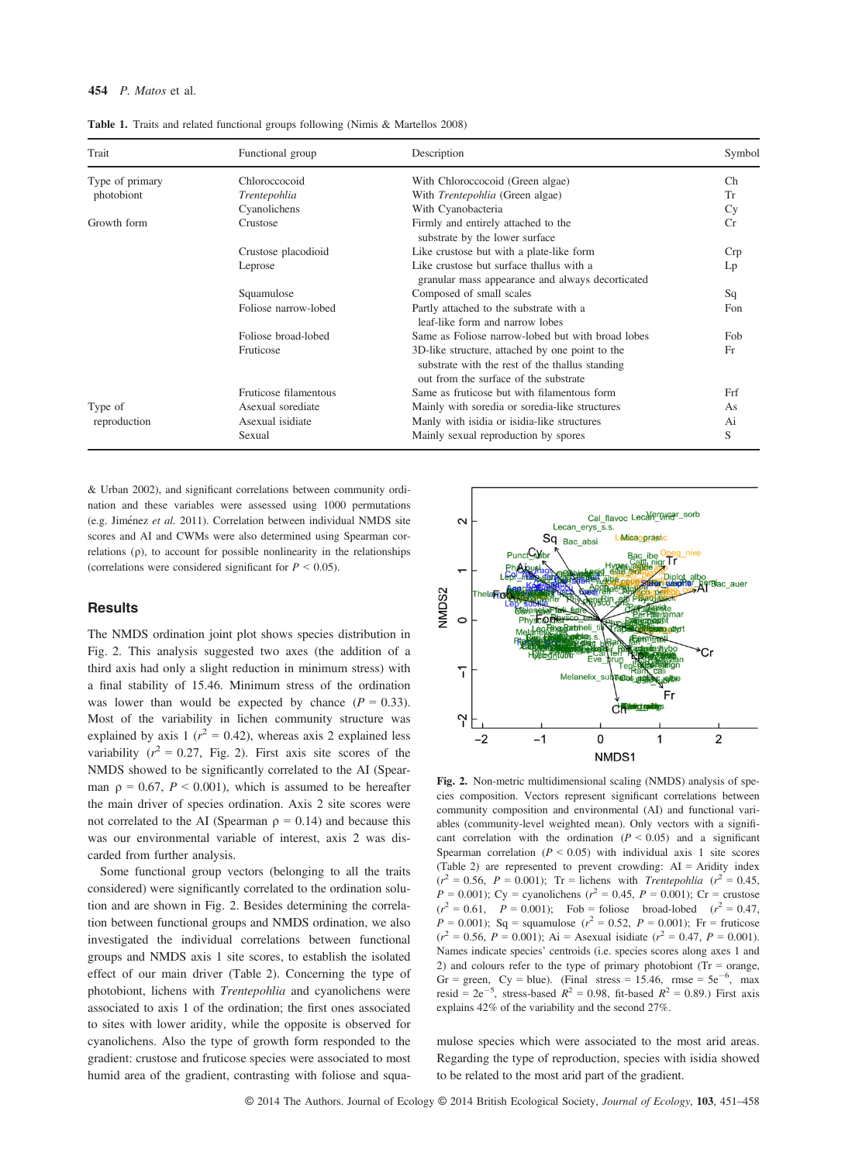#### 454  $P$  *Matos* et al.

| Trait           | Functional group      | Description                                                                                                                                 | Symbol |
|-----------------|-----------------------|---------------------------------------------------------------------------------------------------------------------------------------------|--------|
| Type of primary | Chloroccocoid         | With Chloroccocoid (Green algae)                                                                                                            | Ch     |
| photobiont      | Trentepohlia          | With Trentepohlia (Green algae)                                                                                                             | Tr     |
|                 | Cyanolichens          | With Cyanobacteria                                                                                                                          | Cy     |
| Growth form     | Crustose              | Firmly and entirely attached to the<br>substrate by the lower surface                                                                       | Cr     |
|                 | Crustose placodioid   | Like crustose but with a plate-like form                                                                                                    | Crp    |
|                 | Leprose               | Like crustose but surface thallus with a<br>granular mass appearance and always decorticated                                                | Lp     |
|                 | Squamulose            | Composed of small scales                                                                                                                    | Sq     |
|                 | Foliose narrow-lobed  | Partly attached to the substrate with a<br>leaf-like form and narrow lobes                                                                  | Fon    |
|                 | Foliose broad-lobed   | Same as Foliose narrow-lobed but with broad lobes                                                                                           | Fob    |
|                 | Fruticose             | 3D-like structure, attached by one point to the<br>substrate with the rest of the thallus standing<br>out from the surface of the substrate | Fr     |
|                 | Fruticose filamentous | Same as fruticose but with filamentous form                                                                                                 | Frf    |
| Type of         | Asexual sorediate     | Mainly with soredia or soredia-like structures                                                                                              | As     |
| reproduction    | Asexual isidiate      | Manly with isidia or isidia-like structures                                                                                                 | Ai     |
|                 | Sexual                | Mainly sexual reproduction by spores                                                                                                        | S      |

Table 1. Traits and related functional groups following (Nimis & Martellos 2008)

& Urban 2002), and significant correlations between community ordination and these variables were assessed using 1000 permutations (e.g. Jiménez et al. 2011). Correlation between individual NMDS site scores and AI and CWMs were also determined using Spearman cor $relations (p)$ , to account for possible nonlinearity in the relationships (correlations were considered significant for  $P < 0.05$ ).

# **Results**

The NMDS ordination joint plot shows species distribution in Fig. 2. This analysis suggested two axes (the addition of a third axis had only a slight reduction in minimum stress) with a final stability of 15.46. Minimum stress of the ordination was lower than would be expected by chance  $(P = 0.33)$ . Most of the variability in lichen community structure was explained by axis 1 ( $r^2 = 0.42$ ), whereas axis 2 explained less variability ( $r^2 = 0.27$ , Fig. 2). First axis site scores of the NMDS showed to be significantly correlated to the AI (Spearman  $\rho = 0.67$ ,  $P < 0.001$ ), which is assumed to be hereafter the main driver of species ordination. Axis 2 site scores were not correlated to the AI (Spearman  $\rho = 0.14$ ) and because this was our environmental variable of interest, axis 2 was discarded from further analysis.

Some functional group vectors (belonging to all the traits considered) were significantly correlated to the ordination solution and are shown in Fig. 2. Besides determining the correlation between functional groups and NMDS ordination, we also investigated the individual correlations between functional groups and NMDS axis 1 site scores, to establish the isolated effect of our main driver (Table 2). Concerning the type of photobiont, lichens with Trentepohlia and cyanolichens were associated to axis 1 of the ordination; the first ones associated to sites with lower aridity, while the opposite is observed for cyanolichens. Also the type of growth form responded to the gradient: crustose and fruticose species were associated to most humid area of the gradient, contrasting with foliose and squa-



Fig. 2. Non-metric multidimensional scaling (NMDS) analysis of species composition. Vectors represent significant correlations between community composition and environmental (AI) and functional variables (community-level weighted mean). Only vectors with a significant correlation with the ordination  $(P < 0.05)$  and a significant Spearman correlation ( $P < 0.05$ ) with individual axis 1 site scores (Table 2) are represented to prevent crowding: AI = Aridity index  $(r^2 = 0.56, P = 0.001)$ ; Tr = lichens with *Trentepohlia*  $(r^2 = 0.45)$  $P = 0.001$ ); Cy = cyanolichens ( $r^2 = 0.45$ ,  $P = 0.001$ ); Cr = crustose  $(r^2 = 0.61,$   $P = 0.001)$ ; Fob = foliose broad-lobed  $(r^2 = 0.47)$  $P = 0.001$ ); Sq = squamulose ( $r^2 = 0.52$ ,  $P = 0.001$ ); Fr = fruticose  $(r^2 = 0.56, P = 0.001)$ ; Ai = Asexual isidiate  $(r^2 = 0.47, P = 0.001)$ . Names indicate species' centroids (i.e. species scores along axes 1 and 2) and colours refer to the type of primary photobiont ( $Tr = \text{orange}$ , Gr = green, Cy = blue). (Final stress = 15.46, rmse =  $5e^{-6}$ , max resid =  $2e^{-5}$ , stress-based  $R^2 = 0.98$ , fit-based  $R^2 = 0.89$ .) First axis explains 42% of the variability and the second 27%.

mulose species which were associated to the most arid areas. Regarding the type of reproduction, species with isidia showed to be related to the most arid part of the gradient.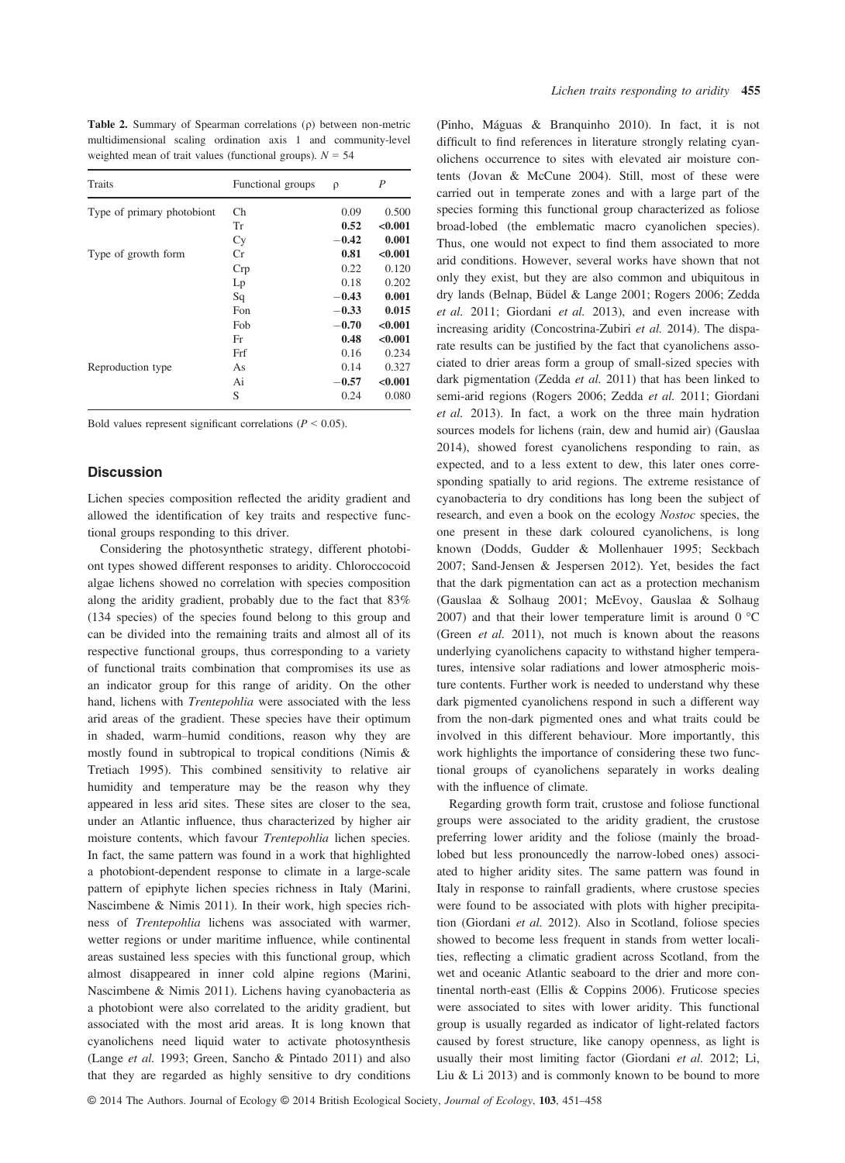Table 2. Summary of Spearman correlations  $(\rho)$  between non-metric multidimensional scaling ordination axis 1 and community-level weighted mean of trait values (functional groups).  $N = 54$ 

| Traits                     | Functional groups | ρ       | $\boldsymbol{P}$ |
|----------------------------|-------------------|---------|------------------|
| Type of primary photobiont | Ch                | 0.09    | 0.500            |
|                            | Tr                | 0.52    | < 0.001          |
|                            | Cy                | $-0.42$ | 0.001            |
| Type of growth form        | Сr                | 0.81    | < 0.001          |
|                            | Crp               | 0.22    | 0.120            |
|                            | Lp                | 0.18    | 0.202            |
|                            | Sq                | $-0.43$ | 0.001            |
|                            | Fon               | $-0.33$ | 0.015            |
|                            | Fob               | $-0.70$ | < 0.001          |
|                            | Fr                | 0.48    | < 0.001          |
|                            | Frf               | 0.16    | 0.234            |
| Reproduction type          | As                | 0.14    | 0.327            |
|                            | Ai                | $-0.57$ | < 0.001          |
|                            | S                 | 0.24    | 0.080            |

Bold values represent significant correlations ( $P < 0.05$ ).

#### **Discussion**

Lichen species composition reflected the aridity gradient and allowed the identification of key traits and respective functional groups responding to this driver.

Considering the photosynthetic strategy, different photobiont types showed different responses to aridity. Chloroccocoid algae lichens showed no correlation with species composition along the aridity gradient, probably due to the fact that 83% (134 species) of the species found belong to this group and can be divided into the remaining traits and almost all of its respective functional groups, thus corresponding to a variety of functional traits combination that compromises its use as an indicator group for this range of aridity. On the other hand, lichens with Trentepohlia were associated with the less arid areas of the gradient. These species have their optimum in shaded, warm–humid conditions, reason why they are mostly found in subtropical to tropical conditions (Nimis & Tretiach 1995). This combined sensitivity to relative air humidity and temperature may be the reason why they appeared in less arid sites. These sites are closer to the sea, under an Atlantic influence, thus characterized by higher air moisture contents, which favour Trentepohlia lichen species. In fact, the same pattern was found in a work that highlighted a photobiont-dependent response to climate in a large-scale pattern of epiphyte lichen species richness in Italy (Marini, Nascimbene & Nimis 2011). In their work, high species richness of Trentepohlia lichens was associated with warmer, wetter regions or under maritime influence, while continental areas sustained less species with this functional group, which almost disappeared in inner cold alpine regions (Marini, Nascimbene & Nimis 2011). Lichens having cyanobacteria as a photobiont were also correlated to the aridity gradient, but associated with the most arid areas. It is long known that cyanolichens need liquid water to activate photosynthesis (Lange et al. 1993; Green, Sancho & Pintado 2011) and also that they are regarded as highly sensitive to dry conditions (Pinho, Maguas & Branquinho 2010). In fact, it is not difficult to find references in literature strongly relating cyanolichens occurrence to sites with elevated air moisture contents (Jovan & McCune 2004). Still, most of these were carried out in temperate zones and with a large part of the species forming this functional group characterized as foliose broad-lobed (the emblematic macro cyanolichen species). Thus, one would not expect to find them associated to more arid conditions. However, several works have shown that not only they exist, but they are also common and ubiquitous in dry lands (Belnap, Büdel & Lange 2001; Rogers 2006; Zedda et al. 2011; Giordani et al. 2013), and even increase with increasing aridity (Concostrina-Zubiri et al. 2014). The disparate results can be justified by the fact that cyanolichens associated to drier areas form a group of small-sized species with dark pigmentation (Zedda et al. 2011) that has been linked to semi-arid regions (Rogers 2006; Zedda et al. 2011; Giordani et al. 2013). In fact, a work on the three main hydration sources models for lichens (rain, dew and humid air) (Gauslaa 2014), showed forest cyanolichens responding to rain, as expected, and to a less extent to dew, this later ones corresponding spatially to arid regions. The extreme resistance of cyanobacteria to dry conditions has long been the subject of research, and even a book on the ecology Nostoc species, the one present in these dark coloured cyanolichens, is long known (Dodds, Gudder & Mollenhauer 1995; Seckbach 2007; Sand-Jensen & Jespersen 2012). Yet, besides the fact that the dark pigmentation can act as a protection mechanism (Gauslaa & Solhaug 2001; McEvoy, Gauslaa & Solhaug 2007) and that their lower temperature limit is around  $0^{\circ}$ C (Green et al. 2011), not much is known about the reasons underlying cyanolichens capacity to withstand higher temperatures, intensive solar radiations and lower atmospheric moisture contents. Further work is needed to understand why these dark pigmented cyanolichens respond in such a different way from the non-dark pigmented ones and what traits could be involved in this different behaviour. More importantly, this work highlights the importance of considering these two functional groups of cyanolichens separately in works dealing with the influence of climate.

Regarding growth form trait, crustose and foliose functional groups were associated to the aridity gradient, the crustose preferring lower aridity and the foliose (mainly the broadlobed but less pronouncedly the narrow-lobed ones) associated to higher aridity sites. The same pattern was found in Italy in response to rainfall gradients, where crustose species were found to be associated with plots with higher precipitation (Giordani et al. 2012). Also in Scotland, foliose species showed to become less frequent in stands from wetter localities, reflecting a climatic gradient across Scotland, from the wet and oceanic Atlantic seaboard to the drier and more continental north-east (Ellis & Coppins 2006). Fruticose species were associated to sites with lower aridity. This functional group is usually regarded as indicator of light-related factors caused by forest structure, like canopy openness, as light is usually their most limiting factor (Giordani et al. 2012; Li, Liu & Li 2013) and is commonly known to be bound to more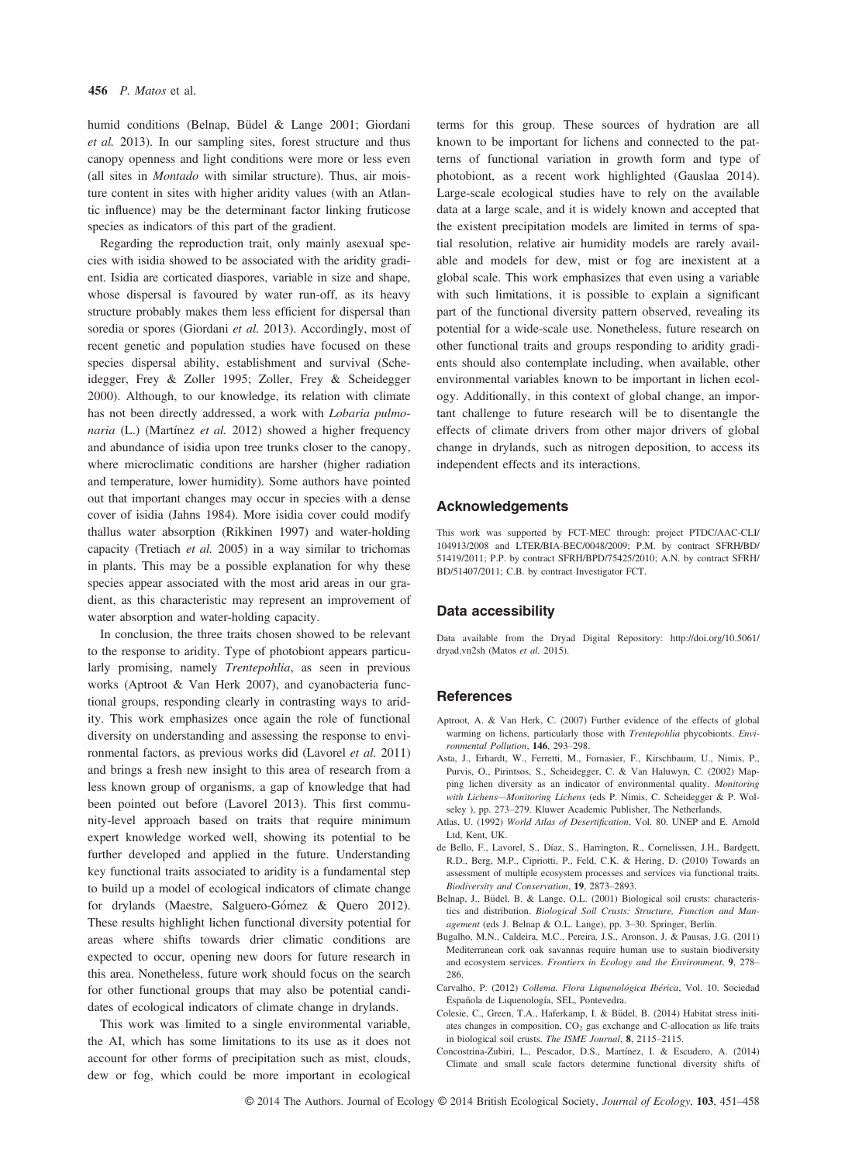humid conditions (Belnap, Büdel & Lange 2001; Giordani et al. 2013). In our sampling sites, forest structure and thus canopy openness and light conditions were more or less even (all sites in Montado with similar structure). Thus, air moisture content in sites with higher aridity values (with an Atlantic influence) may be the determinant factor linking fruticose species as indicators of this part of the gradient.

Regarding the reproduction trait, only mainly asexual species with isidia showed to be associated with the aridity gradient. Isidia are corticated diaspores, variable in size and shape, whose dispersal is favoured by water run-off, as its heavy structure probably makes them less efficient for dispersal than soredia or spores (Giordani et al. 2013). Accordingly, most of recent genetic and population studies have focused on these species dispersal ability, establishment and survival (Scheidegger, Frey & Zoller 1995; Zoller, Frey & Scheidegger 2000). Although, to our knowledge, its relation with climate has not been directly addressed, a work with Lobaria pulmonaria (L.) (Martínez et al. 2012) showed a higher frequency and abundance of isidia upon tree trunks closer to the canopy, where microclimatic conditions are harsher (higher radiation and temperature, lower humidity). Some authors have pointed out that important changes may occur in species with a dense cover of isidia (Jahns 1984). More isidia cover could modify thallus water absorption (Rikkinen 1997) and water-holding capacity (Tretiach et al. 2005) in a way similar to trichomas in plants. This may be a possible explanation for why these species appear associated with the most arid areas in our gradient, as this characteristic may represent an improvement of water absorption and water-holding capacity.

In conclusion, the three traits chosen showed to be relevant to the response to aridity. Type of photobiont appears particularly promising, namely Trentepohlia, as seen in previous works (Aptroot & Van Herk 2007), and cyanobacteria functional groups, responding clearly in contrasting ways to aridity. This work emphasizes once again the role of functional diversity on understanding and assessing the response to environmental factors, as previous works did (Lavorel et al. 2011) and brings a fresh new insight to this area of research from a less known group of organisms, a gap of knowledge that had been pointed out before (Lavorel 2013). This first community-level approach based on traits that require minimum expert knowledge worked well, showing its potential to be further developed and applied in the future. Understanding key functional traits associated to aridity is a fundamental step to build up a model of ecological indicators of climate change for drylands (Maestre, Salguero-Gómez & Quero 2012). These results highlight lichen functional diversity potential for areas where shifts towards drier climatic conditions are expected to occur, opening new doors for future research in this area. Nonetheless, future work should focus on the search for other functional groups that may also be potential candidates of ecological indicators of climate change in drylands.

This work was limited to a single environmental variable, the AI, which has some limitations to its use as it does not account for other forms of precipitation such as mist, clouds, dew or fog, which could be more important in ecological terms for this group. These sources of hydration are all known to be important for lichens and connected to the patterns of functional variation in growth form and type of photobiont, as a recent work highlighted (Gauslaa 2014). Large-scale ecological studies have to rely on the available data at a large scale, and it is widely known and accepted that the existent precipitation models are limited in terms of spatial resolution, relative air humidity models are rarely available and models for dew, mist or fog are inexistent at a global scale. This work emphasizes that even using a variable with such limitations, it is possible to explain a significant part of the functional diversity pattern observed, revealing its potential for a wide-scale use. Nonetheless, future research on other functional traits and groups responding to aridity gradients should also contemplate including, when available, other environmental variables known to be important in lichen ecology. Additionally, in this context of global change, an important challenge to future research will be to disentangle the effects of climate drivers from other major drivers of global change in drylands, such as nitrogen deposition, to access its independent effects and its interactions.

### Acknowledgements

This work was supported by FCT-MEC through: project PTDC/AAC-CLI/ 104913/2008 and LTER/BIA-BEC/0048/2009; P.M. by contract SFRH/BD/ 51419/2011; P.P. by contract SFRH/BPD/75425/2010; A.N. by contract SFRH/ BD/51407/2011; C.B. by contract Investigator FCT.

#### Data accessibility

Data available from the Dryad Digital Repository: [http://doi.org/10.5061/](http://doi.org/10.5061/dryad.vn2sh) [dryad.vn2sh](http://doi.org/10.5061/dryad.vn2sh) (Matos et al. 2015).

#### **References**

- Aptroot, A. & Van Herk, C. (2007) Further evidence of the effects of global warming on lichens, particularly those with Trentepohlia phycobionts. Environmental Pollution, 146, 293–298.
- Asta, J., Erhardt, W., Ferretti, M., Fornasier, F., Kirschbaum, U., Nimis, P., Purvis, O., Pirintsos, S., Scheidegger, C. & Van Haluwyn, C. (2002) Mapping lichen diversity as an indicator of environmental quality. Monitoring with Lichens—Monitoring Lichens (eds P. Nimis, C. Scheidegger & P. Wolseley ), pp. 273–279. Kluwer Academic Publisher, The Netherlands.
- Atlas, U. (1992) World Atlas of Desertification, Vol. 80. UNEP and E. Arnold Ltd, Kent, UK.
- de Bello, F., Lavorel, S., Díaz, S., Harrington, R., Cornelissen, J.H., Bardgett, R.D., Berg, M.P., Cipriotti, P., Feld, C.K. & Hering, D. (2010) Towards an assessment of multiple ecosystem processes and services via functional traits. Biodiversity and Conservation, 19, 2873–2893.
- Belnap, J., Büdel, B. & Lange, O.L. (2001) Biological soil crusts: characteristics and distribution. Biological Soil Crusts: Structure, Function and Management (eds J. Belnap & O.L. Lange), pp. 3–30. Springer, Berlin.
- Bugalho, M.N., Caldeira, M.C., Pereira, J.S., Aronson, J. & Pausas, J.G. (2011) Mediterranean cork oak savannas require human use to sustain biodiversity and ecosystem services. Frontiers in Ecology and the Environment, 9, 278– 286.
- Carvalho, P. (2012) Collema. Flora Liquenológica Ibérica, Vol. 10. Sociedad Española de Liquenología, SEL, Pontevedra.
- Colesie, C., Green, T.A., Haferkamp, I. & Büdel, B. (2014) Habitat stress initiates changes in composition, CO<sub>2</sub> gas exchange and C-allocation as life traits in biological soil crusts. The ISME Journal, 8, 2115–2115.
- Concostrina-Zubiri, L., Pescador, D.S., Martínez, I. & Escudero, A. (2014) Climate and small scale factors determine functional diversity shifts of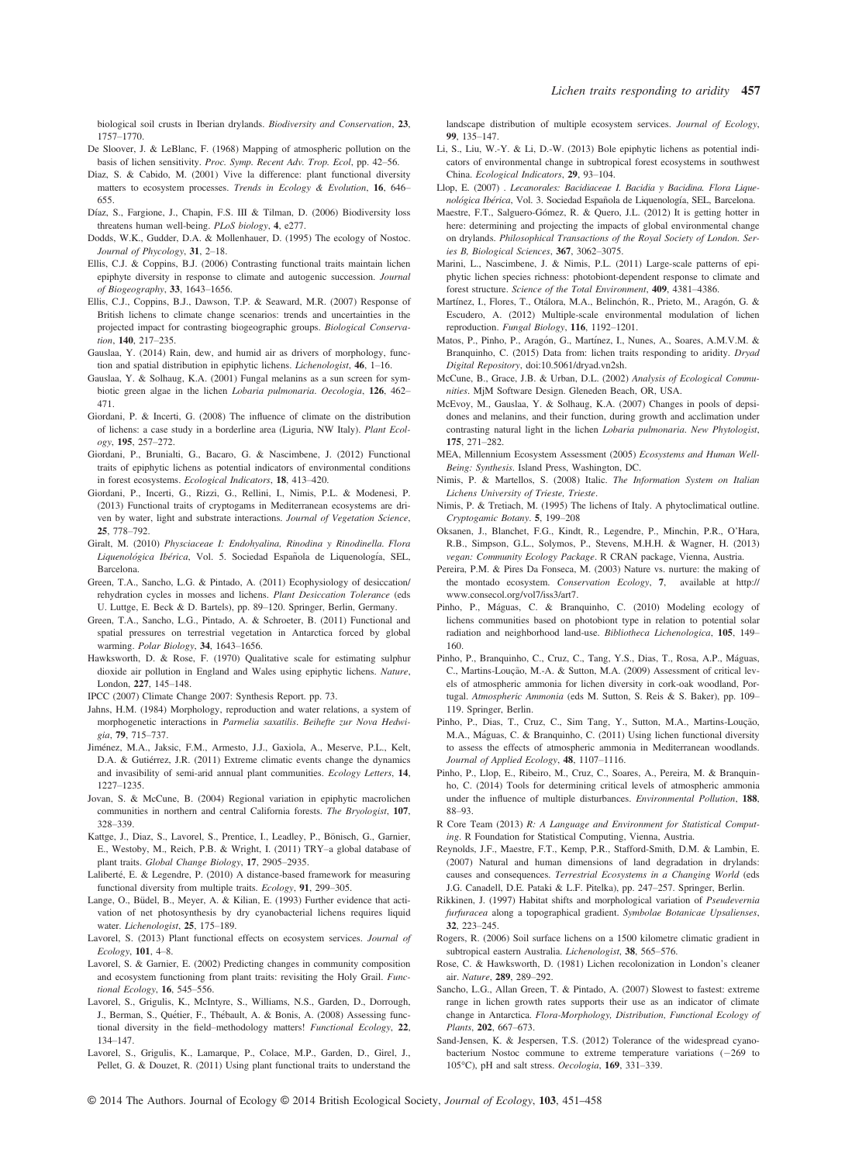biological soil crusts in Iberian drylands. Biodiversity and Conservation, 23, 1757–1770.

- De Sloover, J. & LeBlanc, F. (1968) Mapping of atmospheric pollution on the basis of lichen sensitivity. Proc. Symp. Recent Adv. Trop. Ecol, pp. 42–56.
- Díaz, S. & Cabido, M. (2001) Vive la difference: plant functional diversity matters to ecosystem processes. Trends in Ecology & Evolution, 16, 646– 655.
- Díaz, S., Fargione, J., Chapin, F.S. III & Tilman, D. (2006) Biodiversity loss threatens human well-being. *PLoS biology*, 4, e277.
- threatens human well-being. *PLoS biology*, **4**, e277.<br>Dodds, W.K., Gudder, D.A. & Mollenhauer, D. (1995) The ecology of Nostoc. Journal of Phycology, 31, 2–18.
- Ellis, C.J. & Coppins, B.J. (2006) Contrasting functional traits maintain lichen epiphyte diversity in response to climate and autogenic succession. Journal of Biogeography, 33, 1643–1656.
- Ellis, C.J., Coppins, B.J., Dawson, T.P. & Seaward, M.R. (2007) Response of British lichens to climate change scenarios: trends and uncertainties in the projected impact for contrasting biogeographic groups. Biological Conserva-
- tion, 140, 217–235. Gauslaa, Y. (2014) Rain, dew, and humid air as drivers of morphology, function and spatial distribution in epiphytic lichens. Lichenologist, 46, 1–16.
- Gauslaa, Y. & Solhaug, K.A. (2001) Fungal melanins as a sun screen for symbiotic green algae in the lichen Lobaria pulmonaria. Oecologia, 126, 462– 471.
- Giordani, P. & Incerti, G. (2008) The influence of climate on the distribution of lichens: a case study in a borderline area (Liguria, NW Italy). Plant Ecology, 195, 257–272.
- Giordani, P., Brunialti, G., Bacaro, G. & Nascimbene, J. (2012) Functional traits of epiphytic lichens as potential indicators of environmental conditions in forest ecosystems. Ecological Indicators, 18, 413–420.
- Giordani, P., Incerti, G., Rizzi, G., Rellini, I., Nimis, P.L. & Modenesi, P. (2013) Functional traits of cryptogams in Mediterranean ecosystems are driven by water, light and substrate interactions. Journal of Vegetation Science, 25, 778–792.
- Giralt, M. (2010) Physciaceae I: Endohyalina, Rinodina y Rinodinella. Flora Liquenológica Ibérica, Vol. 5. Sociedad Española de Liquenología, SEL, Barcelona.
- Green, T.A., Sancho, L.G. & Pintado, A. (2011) Ecophysiology of desiccation/ rehydration cycles in mosses and lichens. Plant Desiccation Tolerance (eds U. Luttge, E. Beck & D. Bartels), pp. 89–120. Springer, Berlin, Germany.
- Green, T.A., Sancho, L.G., Pintado, A. & Schroeter, B. (2011) Functional and spatial pressures on terrestrial vegetation in Antarctica forced by global warming. Polar Biology, 34, 1643–1656.
- Hawksworth, D. & Rose, F. (1970) Qualitative scale for estimating sulphur dioxide air pollution in England and Wales using epiphytic lichens. Nature, London, 227, 145–148.

IPCC (2007) Climate Change 2007: Synthesis Report. pp. 73.

- Jahns, H.M. (1984) Morphology, reproduction and water relations, a system of morphogenetic interactions in Parmelia saxatilis. Beihefte zur Nova Hedwigia, 79, 715–737.
- Jimenez, M.A., Jaksic, F.M., Armesto, J.J., Gaxiola, A., Meserve, P.L., Kelt, D.A. & Gutiérrez, J.R. (2011) Extreme climatic events change the dynamics and invasibility of semi-arid annual plant communities. Ecology Letters, 14, 1227–1235.
- Jovan, S. & McCune, B. (2004) Regional variation in epiphytic macrolichen communities in northern and central California forests. The Bryologist, 107, 328–339.
- Kattge, J., Diaz, S., Lavorel, S., Prentice, I., Leadley, P., Bönisch, G., Garnier, E., Westoby, M., Reich, P.B. & Wright, I. (2011) TRY–a global database of plant traits. Global Change Biology, 17, 2905–2935.
- Laliberté, E. & Legendre, P. (2010) A distance-based framework for measuring functional diversity from multiple traits. Ecology, 91, 299–305.
- Lange, O., Büdel, B., Meyer, A. & Kilian, E. (1993) Further evidence that activation of net photosynthesis by dry cyanobacterial lichens requires liquid water. Lichenologist, 25, 175–189.
- Lavorel, S. (2013) Plant functional effects on ecosystem services. Journal of Ecology, 101, 4–8.
- Lavorel, S. & Garnier, E. (2002) Predicting changes in community composition and ecosystem functioning from plant traits: revisiting the Holy Grail. Functional Ecology, 16, 545–556.
- Lavorel, S., Grigulis, K., McIntyre, S., Williams, N.S., Garden, D., Dorrough, J., Berman, S., Quétier, F., Thébault, A. & Bonis, A. (2008) Assessing functional diversity in the field–methodology matters! Functional Ecology, 22, 134–147.
- Lavorel, S., Grigulis, K., Lamarque, P., Colace, M.P., Garden, D., Girel, J., Pellet, G. & Douzet, R. (2011) Using plant functional traits to understand the

landscape distribution of multiple ecosystem services. Journal of Ecology, 99, 135–147. Li, S., Liu, W.-Y. & Li, D.-W. (2013) Bole epiphytic lichens as potential indi-

- cators of environmental change in subtropical forest ecosystems in southwest China. Ecological Indicators, 29, 93–104.
- Llop, E. (2007) . Lecanorales: Bacidiaceae I. Bacidia y Bacidina. Flora Lique*nológica Ibérica*, Vol. 3. Sociedad Española de Liquenología, SEL, Barcelona.
- Maestre, F.T., Salguero-Gómez, R. & Quero, J.L. (2012) It is getting hotter in here: determining and projecting the impacts of global environmental change on drylands. Philosophical Transactions of the Royal Society of London. Series B, Biological Sciences, 367, 3062–3075.
- Marini, L., Nascimbene, J. & Nimis, P.L. (2011) Large-scale patterns of epiphytic lichen species richness: photobiont-dependent response to climate and forest structure. Science of the Total Environment, 409, 4381–4386.
- Martínez, I., Flores, T., Otálora, M.A., Belinchón, R., Prieto, M., Aragón, G. & Escudero, A. (2012) Multiple-scale environmental modulation of lichen reproduction. Fungal Biology, 116, 1192–1201.
- Matos, P., Pinho, P., Aragón, G., Martínez, I., Nunes, A., Soares, A.M.V.M. & Branquinho, C. (2015) Data from: lichen traits responding to aridity. Dryad Digital Repository, doi[:10.5061/dryad.vn2sh.](http://dx.doi.org/10.5061/dryad.vn2sh)
- McCune, B., Grace, J.B. & Urban, D.L. (2002) Analysis of Ecological Communities. MjM Software Design. Gleneden Beach, OR, USA.
- McEvoy, M., Gauslaa, Y. & Solhaug, K.A. (2007) Changes in pools of depsidones and melanins, and their function, during growth and acclimation under contrasting natural light in the lichen Lobaria pulmonaria. New Phytologist, 175, 271–282.
- MEA, Millennium Ecosystem Assessment (2005) Ecosystems and Human Well-Being: Synthesis. Island Press, Washington, DC.
- Nimis, P. & Martellos, S. (2008) Italic. The Information System on Italian Lichens University of Trieste, Trieste.
- Nimis, P. & Tretiach, M. (1995) The lichens of Italy. A phytoclimatical outline. Cryptogamic Botany. 5, 199–<sup>208</sup>
- Oksanen, J., Blanchet, F.G., Kindt, R., Legendre, P., Minchin, P.R., O'Hara, R.B., Simpson, G.L., Solymos, P., Stevens, M.H.H. & Wagner, H. (2013) vegan: Community Ecology Package. R CRAN package, Vienna, Austria.
- Pereira, P.M. & Pires Da Fonseca, M. (2003) Nature vs. nurture: the making of the montado ecosystem. Conservation Ecology, 7, available at [http://](http://www.consecol.org/vol7/iss3/art7) [www.consecol.org/vol7/iss3/art7](http://www.consecol.org/vol7/iss3/art7).
- Pinho, P., Máguas, C. & Branquinho, C. (2010) Modeling ecology of lichens communities based on photobiont type in relation to potential solar radiation and neighborhood land-use. Bibliotheca Lichenologica, 105, 149– 160.
- Pinho, P., Branquinho, C., Cruz, C., Tang, Y.S., Dias, T., Rosa, A.P., Máguas, C., Martins-Loucão, M.-A. & Sutton, M.A. (2009) Assessment of critical levels of atmospheric ammonia for lichen diversity in cork-oak woodland, Portugal. Atmospheric Ammonia (eds M. Sutton, S. Reis & S. Baker), pp. 109– 119. Springer, Berlin.
- Pinho, P., Dias, T., Cruz, C., Sim Tang, Y., Sutton, M.A., Martins-Loução, M.A., Maguas, C. & Branquinho, C. (2011) Using lichen functional diversity to assess the effects of atmospheric ammonia in Mediterranean woodlands. Journal of Applied Ecology, 48, 1107–1116.
- Pinho, P., Llop, E., Ribeiro, M., Cruz, C., Soares, A., Pereira, M. & Branquinho, C. (2014) Tools for determining critical levels of atmospheric ammonia under the influence of multiple disturbances. Environmental Pollution, 188, 88–93.
- R Core Team (2013) R: A Language and Environment for Statistical Computing. R Foundation for Statistical Computing, Vienna, Austria.
- Reynolds, J.F., Maestre, F.T., Kemp, P.R., Stafford-Smith, D.M. & Lambin, E. (2007) Natural and human dimensions of land degradation in drylands: causes and consequences. Terrestrial Ecosystems in a Changing World (eds J.G. Canadell, D.E. Pataki & L.F. Pitelka), pp. 247–257. Springer, Berlin.
- Rikkinen, J. (1997) Habitat shifts and morphological variation of Pseudevernia furfuracea along a topographical gradient. Symbolae Botanicae Upsalienses, 32, 223–245.
- Rogers, R. (2006) Soil surface lichens on a 1500 kilometre climatic gradient in subtropical eastern Australia. Lichenologist, 38, 565–576.
- Rose, C. & Hawksworth, D. (1981) Lichen recolonization in London's cleaner air. Nature, 289, 289–292.
- Sancho, L.G., Allan Green, T. & Pintado, A. (2007) Slowest to fastest: extreme range in lichen growth rates supports their use as an indicator of climate change in Antarctica. Flora-Morphology, Distribution, Functional Ecology of Plants, 202, 667–673.
- Sand-Jensen, K. & Jespersen, T.S. (2012) Tolerance of the widespread cyanobacterium Nostoc commune to extreme temperature variations  $(-269)$  to <sup>105</sup>°C), pH and salt stress. Oecologia, 169, 331–339.